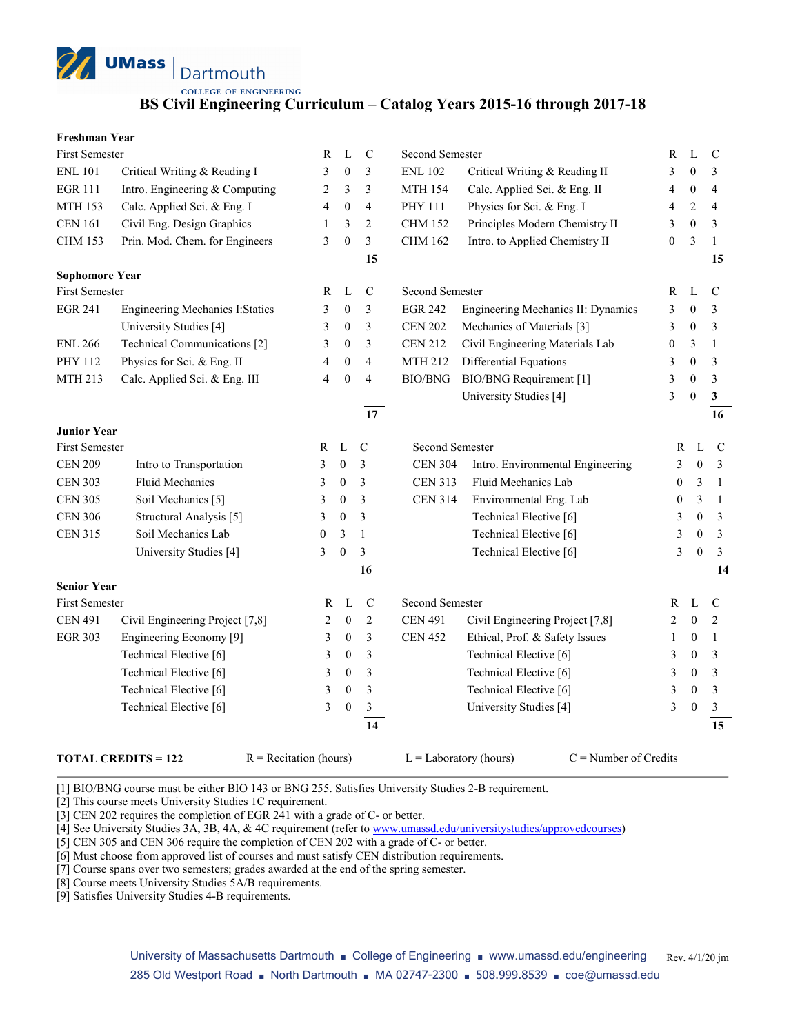**UMass** Dartmouth

**COLLEGE OF ENGINEERING** 

### **BS Civil Engineering Curriculum – Catalog Years 2015-16 through 2017-18**

| <b>Freshman Year</b> |  |
|----------------------|--|
|----------------------|--|

| <b>First Semester</b>                                      |                                        | R                      | L                | $\mathcal{C}$  | Second Semester        |                                    | R                | L                | $\mathcal{C}$   |
|------------------------------------------------------------|----------------------------------------|------------------------|------------------|----------------|------------------------|------------------------------------|------------------|------------------|-----------------|
| <b>ENL 101</b>                                             | Critical Writing & Reading I           | 3                      | $\overline{0}$   | 3              | <b>ENL 102</b>         | Critical Writing & Reading II      | 3                | $\mathbf{0}$     | 3               |
| <b>EGR 111</b>                                             | Intro. Engineering & Computing         | 2                      | 3                | 3              | <b>MTH 154</b>         | Calc. Applied Sci. & Eng. II       | 4                | $\boldsymbol{0}$ | $\overline{4}$  |
| <b>MTH 153</b>                                             | Calc. Applied Sci. & Eng. I            | 4                      | $\mathbf{0}$     | $\overline{4}$ | <b>PHY 111</b>         | Physics for Sci. & Eng. I          | 4                | 2                | 4               |
| <b>CEN 161</b>                                             | Civil Eng. Design Graphics             | 1                      | 3                | 2              | <b>CHM 152</b>         | Principles Modern Chemistry II     | 3                | $\overline{0}$   | 3               |
| <b>CHM 153</b>                                             | Prin. Mod. Chem. for Engineers         | 3                      | $\mathbf{0}$     | 3              | <b>CHM 162</b>         | Intro. to Applied Chemistry II     | $\boldsymbol{0}$ | 3                | $\mathbf{1}$    |
|                                                            |                                        |                        |                  | 15             |                        |                                    |                  |                  | 15              |
| <b>Sophomore Year</b>                                      |                                        |                        |                  |                |                        |                                    |                  |                  |                 |
| <b>First Semester</b>                                      |                                        | R                      | L                | $\mathsf{C}$   | Second Semester        |                                    | R                | L                | $\mathcal{C}$   |
| <b>EGR 241</b>                                             | <b>Engineering Mechanics I:Statics</b> | 3                      | $\boldsymbol{0}$ | 3              | <b>EGR 242</b>         | Engineering Mechanics II: Dynamics | 3                | $\boldsymbol{0}$ | 3               |
|                                                            | University Studies [4]                 | 3                      | $\boldsymbol{0}$ | $\mathfrak{Z}$ | <b>CEN 202</b>         | Mechanics of Materials [3]         | 3                | $\boldsymbol{0}$ | 3               |
| <b>ENL 266</b>                                             | Technical Communications [2]           | 3                      | $\mathbf{0}$     | 3              | <b>CEN 212</b>         | Civil Engineering Materials Lab    | $\boldsymbol{0}$ | 3                | $\mathbf{1}$    |
| PHY 112                                                    | Physics for Sci. & Eng. II             | 4                      | $\mathbf{0}$     | $\overline{4}$ | <b>MTH 212</b>         | Differential Equations             | 3                | $\mathbf{0}$     | 3               |
| <b>MTH 213</b>                                             | Calc. Applied Sci. & Eng. III          | 4                      | $\mathbf{0}$     | $\overline{4}$ | <b>BIO/BNG</b>         | BIO/BNG Requirement [1]            | 3                | $\mathbf{0}$     | 3               |
|                                                            |                                        |                        |                  |                |                        | University Studies [4]             | 3                | $\mathbf{0}$     | $\mathbf{3}$    |
|                                                            |                                        |                        |                  | 17             |                        |                                    |                  |                  | 16              |
| <b>Junior Year</b>                                         |                                        |                        |                  |                |                        |                                    |                  |                  |                 |
| <b>First Semester</b><br>$\mathbf L$<br>R<br>$\mathcal{C}$ |                                        | <b>Second Semester</b> |                  | $\mathbb{R}$   | L                      | $\mathbf C$                        |                  |                  |                 |
| <b>CEN 209</b>                                             | Intro to Transportation                | 3                      | $\boldsymbol{0}$ | 3              | <b>CEN 304</b>         | Intro. Environmental Engineering   | 3                | $\mathbf{0}$     | 3               |
| <b>CEN 303</b>                                             | <b>Fluid Mechanics</b>                 | 3                      | $\boldsymbol{0}$ | 3              | <b>CEN 313</b>         | Fluid Mechanics Lab                | $\mathbf{0}$     | 3                | -1              |
| <b>CEN 305</b>                                             | Soil Mechanics [5]                     | 3                      | $\boldsymbol{0}$ | 3              | <b>CEN 314</b>         | Environmental Eng. Lab             | $\boldsymbol{0}$ | 3                | $\overline{1}$  |
| <b>CEN 306</b>                                             | Structural Analysis [5]                | 3                      | $\boldsymbol{0}$ | 3              |                        | Technical Elective [6]             | 3                | $\boldsymbol{0}$ | $\mathfrak{Z}$  |
| <b>CEN 315</b>                                             | Soil Mechanics Lab                     | $\boldsymbol{0}$       | 3                | $\mathbf{1}$   |                        | Technical Elective [6]             | 3                | $\theta$         | $\mathfrak{Z}$  |
|                                                            | University Studies [4]                 | 3                      | $\mathbf{0}$     | 3              |                        | Technical Elective [6]             | 3                | $\theta$         | $\mathfrak{Z}$  |
|                                                            |                                        |                        |                  | 16             |                        |                                    |                  |                  | 14              |
| <b>Senior Year</b>                                         |                                        |                        |                  |                |                        |                                    |                  |                  |                 |
| First Semester                                             |                                        | R                      | L                | $\mathbf C$    | <b>Second Semester</b> |                                    | R                | L                | $\mathcal{C}$   |
| <b>CEN 491</b>                                             | Civil Engineering Project [7,8]        | 2                      | $\boldsymbol{0}$ | $\overline{c}$ | <b>CEN 491</b>         | Civil Engineering Project [7,8]    | 2                | $\mathbf{0}$     | 2               |
| <b>EGR 303</b>                                             | Engineering Economy [9]                | 3                      | $\mathbf{0}$     | 3              | <b>CEN 452</b>         | Ethical, Prof. & Safety Issues     | 1                | $\boldsymbol{0}$ | $\mathbf{1}$    |
|                                                            | Technical Elective [6]                 | 3                      | $\boldsymbol{0}$ | 3              |                        | Technical Elective [6]             | 3                | $\boldsymbol{0}$ | 3               |
|                                                            | Technical Elective [6]                 | 3                      | $\mathbf{0}$     | $\mathfrak{Z}$ |                        | Technical Elective [6]             | 3                | $\mathbf{0}$     | $\mathfrak{Z}$  |
|                                                            | Technical Elective [6]                 | 3                      | $\mathbf{0}$     | 3              |                        | Technical Elective [6]             | 3                | $\mathbf{0}$     | 3               |
|                                                            | Technical Elective [6]                 | 3                      | $\boldsymbol{0}$ | $\mathfrak{Z}$ |                        | University Studies [4]             | 3                | $\mathbf{0}$     | 3               |
|                                                            |                                        |                        |                  | 14             |                        |                                    |                  |                  | $\overline{15}$ |
|                                                            |                                        |                        |                  |                |                        |                                    |                  |                  |                 |

#### **TOTAL CREDITS = 122** R = Recitation (hours) L = Laboratory (hours) C = Number of Credits

[1] BIO/BNG course must be either BIO 143 or BNG 255. Satisfies University Studies 2-B requirement.

[2] This course meets University Studies 1C requirement.

[3] CEN 202 requires the completion of EGR 241 with a grade of C- or better.

[4] See University Studies 3A, 3B, 4A, & 4C requirement (refer t[o www.umassd.edu/universitystudies/approvedcourses\)](http://www.umassd.edu/universitystudies/approvedcourses)

[5] CEN 305 and CEN 306 require the completion of CEN 202 with a grade of C- or better.

[6] Must choose from approved list of courses and must satisfy CEN distribution requirements.

[7] Course spans over two semesters; grades awarded at the end of the spring semester.

[8] Course meets University Studies 5A/B requirements.

[9] Satisfies University Studies 4-B requirements.